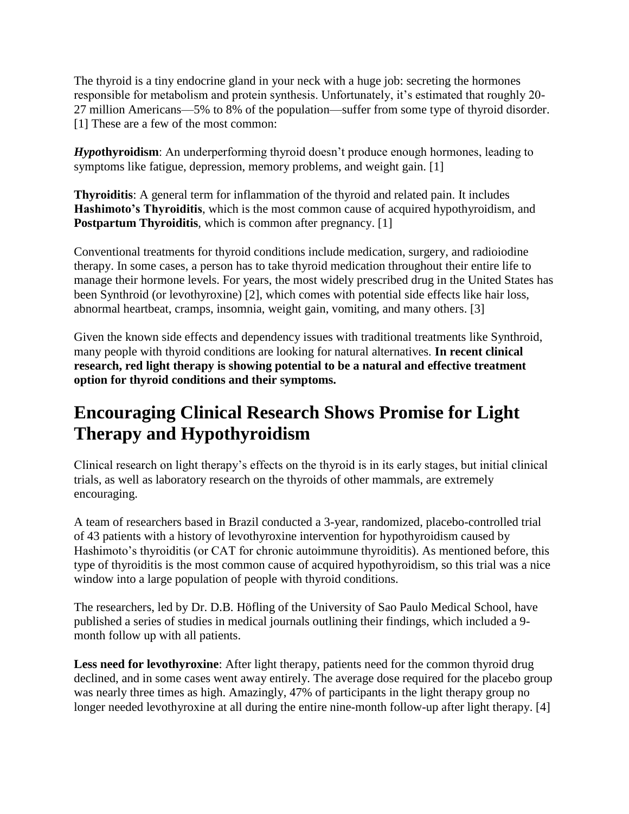The thyroid is a tiny endocrine gland in your neck with a huge job: secreting the hormones responsible for metabolism and protein synthesis. Unfortunately, it's estimated that roughly 20- 27 million Americans—5% to 8% of the population—suffer from some type of thyroid disorder. [1] These are a few of the most common:

*Hypo***thyroidism**: An underperforming thyroid doesn't produce enough hormones, leading to symptoms like fatigue, depression, memory problems, and weight gain. [1]

**Thyroiditis**: A general term for inflammation of the thyroid and related pain. It includes **Hashimoto's Thyroiditis**, which is the most common cause of acquired hypothyroidism, and **Postpartum Thyroiditis**, which is common after pregnancy. [1]

Conventional treatments for thyroid conditions include medication, surgery, and radioiodine therapy. In some cases, a person has to take thyroid medication throughout their entire life to manage their hormone levels. For years, the most widely prescribed drug in the United States has been Synthroid (or levothyroxine) [2], which comes with potential side effects like hair loss, abnormal heartbeat, cramps, insomnia, weight gain, vomiting, and many others. [3]

Given the known side effects and dependency issues with traditional treatments like Synthroid, many people with thyroid conditions are looking for natural alternatives. **In recent clinical research, red light therapy is showing potential to be a natural and effective treatment option for thyroid conditions and their symptoms.** 

## **Encouraging Clinical Research Shows Promise for Light Therapy and Hypothyroidism**

Clinical research on light therapy's effects on the thyroid is in its early stages, but initial clinical trials, as well as laboratory research on the thyroids of other mammals, are extremely encouraging.

A team of researchers based in Brazil conducted a 3-year, randomized, placebo-controlled trial of 43 patients with a history of levothyroxine intervention for hypothyroidism caused by Hashimoto's thyroiditis (or CAT for chronic autoimmune thyroiditis). As mentioned before, this type of thyroiditis is the most common cause of acquired hypothyroidism, so this trial was a nice window into a large population of people with thyroid conditions.

The researchers, led by Dr. D.B. Höfling of the University of Sao Paulo Medical School, have published a series of studies in medical journals outlining their findings, which included a 9 month follow up with all patients.

Less need for levothyroxine: After light therapy, patients need for the common thyroid drug declined, and in some cases went away entirely. The average dose required for the placebo group was nearly three times as high. Amazingly, 47% of participants in the light therapy group no longer needed levothyroxine at all during the entire nine-month follow-up after light therapy. [4]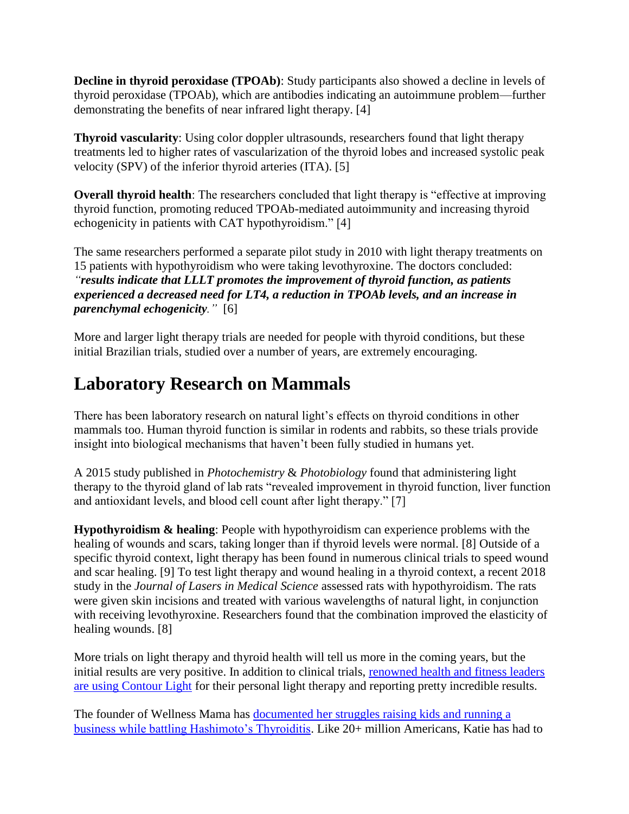**Decline in thyroid peroxidase (TPOAb)**: Study participants also showed a decline in levels of thyroid peroxidase (TPOAb), which are antibodies indicating an autoimmune problem—further demonstrating the benefits of near infrared light therapy. [4]

**Thyroid vascularity**: Using color doppler ultrasounds, researchers found that light therapy treatments led to higher rates of vascularization of the thyroid lobes and increased systolic peak velocity (SPV) of the inferior thyroid arteries (ITA). [5]

**Overall thyroid health**: The researchers concluded that light therapy is "effective at improving thyroid function, promoting reduced TPOAb-mediated autoimmunity and increasing thyroid echogenicity in patients with CAT hypothyroidism." [4]

The same researchers performed a separate pilot study in 2010 with light therapy treatments on 15 patients with hypothyroidism who were taking levothyroxine. The doctors concluded: *"results indicate that LLLT promotes the improvement of thyroid function, as patients experienced a decreased need for LT4, a reduction in TPOAb levels, and an increase in parenchymal echogenicity."* [6]

More and larger light therapy trials are needed for people with thyroid conditions, but these initial Brazilian trials, studied over a number of years, are extremely encouraging.

## **Laboratory Research on Mammals**

There has been laboratory research on natural light's effects on thyroid conditions in other mammals too. Human thyroid function is similar in rodents and rabbits, so these trials provide insight into biological mechanisms that haven't been fully studied in humans yet.

A 2015 study published in *Photochemistry* & *Photobiology* found that administering light therapy to the thyroid gland of lab rats "revealed improvement in thyroid function, liver function and antioxidant levels, and blood cell count after light therapy." [7]

**Hypothyroidism & healing**: People with hypothyroidism can experience problems with the healing of wounds and scars, taking longer than if thyroid levels were normal. [8] Outside of a specific thyroid context, light therapy has been found in numerous clinical trials to speed wound and scar healing. [9] To test light therapy and wound healing in a thyroid context, a recent 2018 study in the *Journal of Lasers in Medical Science* assessed rats with hypothyroidism. The rats were given skin incisions and treated with various wavelengths of natural light, in conjunction with receiving levothyroxine. Researchers found that the combination improved the elasticity of healing wounds. [8]

More trials on light therapy and thyroid health will tell us more in the coming years, but the initial results are very positive. In addition to clinical trials, [renowned health and fitness leaders](https://joovv.com/pages/endorsements)  [are using Contour Light](https://joovv.com/pages/endorsements) for their personal light therapy and reporting pretty incredible results.

The founder of Wellness Mama has [documented her struggles raising kids and running a](https://wellnessmama.com/269510/red-light-therapy/)  [business while battling Hashimoto's Thyroiditis.](https://wellnessmama.com/269510/red-light-therapy/) Like 20+ million Americans, Katie has had to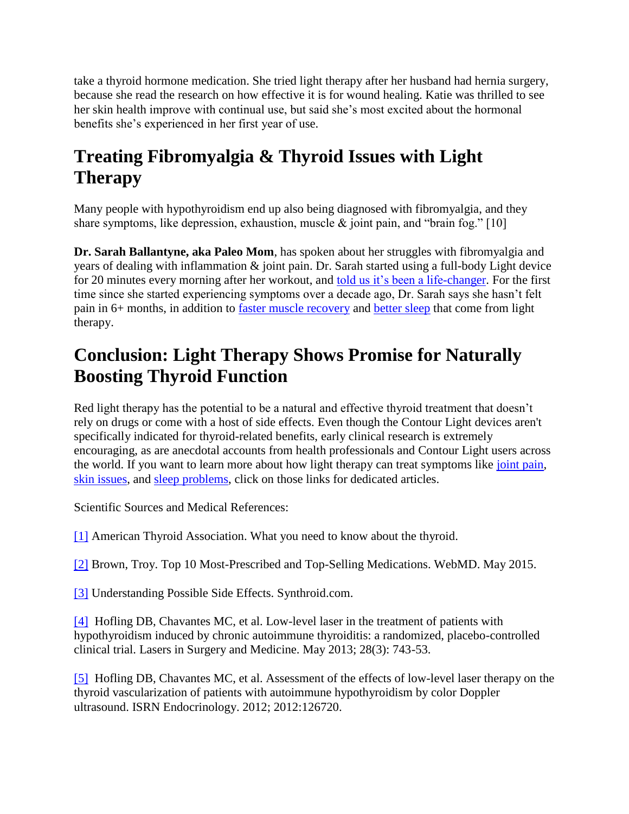take a thyroid hormone medication. She tried light therapy after her husband had hernia surgery, because she read the research on how effective it is for wound healing. Katie was thrilled to see her skin health improve with continual use, but said she's most excited about the hormonal benefits she's experienced in her first year of use.

## **Treating Fibromyalgia & Thyroid Issues with Light Therapy**

Many people with hypothyroidism end up also being diagnosed with fibromyalgia, and they share symptoms, like depression, exhaustion, muscle & joint pain, and "brain fog." [10]

**Dr. Sarah Ballantyne, aka Paleo Mom**, has spoken about her struggles with fibromyalgia and years of dealing with inflammation & joint pain. Dr. Sarah started using a full-body Light device for 20 minutes every morning after her workout, and [told us it's been a life-changer.](https://joovv.com/blogs/joovv-blog/dr-sarah-ballantyne-aka-paleo-mom-shares-her-approach-to-writing-personal-fitness-and-reveals-her-5-year-plan) For the first time since she started experiencing symptoms over a decade ago, Dr. Sarah says she hasn't felt pain in 6+ months, in addition to [faster muscle recovery](https://joovv.com/blogs/joovv-blog/surprising-impact-red-near-infrared-light-muscle-recovery-athletic-performance) and [better sleep](https://joovv.com/blogs/joovv-blog/how-red-light-helps-you-sleep-better) that come from light therapy.

## **Conclusion: Light Therapy Shows Promise for Naturally Boosting Thyroid Function**

Red light therapy has the potential to be a natural and effective thyroid treatment that doesn't rely on drugs or come with a host of side effects. Even though the Contour Light devices aren't specifically indicated for thyroid-related benefits, early clinical research is extremely encouraging, as are anecdotal accounts from health professionals and Contour Light users across the world. If you want to learn more about how light therapy can treat symptoms like [joint pain,](https://joovv.com/blogs/joovv-blog/red-near-infrared-light-proven-reduce-joint-pain-alleviate-arthritis) [skin issues,](https://joovv.com/blogs/joovv-blog/improve-skin-health-red-near-infrared-light-therapy) and [sleep problems,](https://joovv.com/blogs/joovv-blog/how-red-light-helps-you-sleep-better) click on those links for dedicated articles.

Scientific Sources and Medical References:

[\[1\]](https://www.thyroid.org/thyroid-information/) American Thyroid Association. What you need to know about the thyroid.

[\[2\]](https://www.webmd.com/drug-medication/news/20150508/most-prescribed-top-selling-drugs) Brown, Troy. Top 10 Most-Prescribed and Top-Selling Medications. WebMD. May 2015.

[\[3\]](https://www.synthroid.com/starting/synthroid-side-effects) Understanding Possible Side Effects. Synthroid.com.

[\[4\]](https://www.ncbi.nlm.nih.gov/pubmed/22718472) Hofling DB, Chavantes MC, et al. Low-level laser in the treatment of patients with hypothyroidism induced by chronic autoimmune thyroiditis: a randomized, placebo-controlled clinical trial. Lasers in Surgery and Medicine. May 2013; 28(3): 743-53.

[\[5\]](https://www.ncbi.nlm.nih.gov/pubmed/23316383) Hofling DB, Chavantes MC, et al. Assessment of the effects of low-level laser therapy on the thyroid vascularization of patients with autoimmune hypothyroidism by color Doppler ultrasound. ISRN Endocrinology. 2012; 2012:126720.